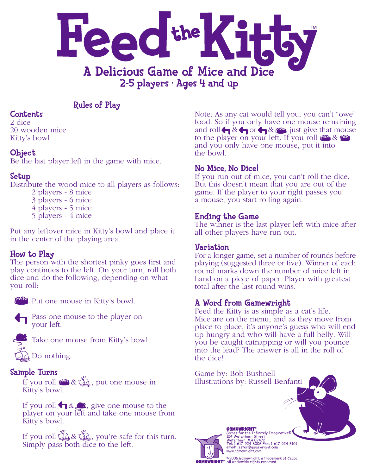

## Rules of Play

## **Contents**

2 dice 20 wooden mice Kitty's bowl

## **Object**

Be the last player left in the game with mice.

# Setup

Distribute the wood mice to all players as follows:

- 2 players 8 mice
- 3 players 6 mice
- 4 players 5 mice
- 5 players 4 mice

Put any leftover mice in Kitty's bowl and place it in the center of the playing area.

# How to Play

The person with the shortest pinky goes first and play continues to the left. On your turn, roll both dice and do the following, depending on what you roll:



Put one mouse in Kitty's bowl.



Pass one mouse to the player on your left.



Take one mouse from Kitty's bowl.

Do nothing.

## Sample Turns

If you roll  $\mathfrak{g} \boxtimes \mathfrak{g}$ , put one mouse in Kitty's bowl.

If you roll  $\bigcap \&$  , give one mouse to the player on your left and take one mouse from Kitty's bowl.

If you roll  $\mathbb{Z} \times \mathbb{Z}$ , you're safe for this turn. Simply pass both dice to the left.

Note: As any cat would tell you, you can't "owe" food. So if you only have one mouse remaining and roll  $\bigoplus$  &  $\bigoplus$  or  $\bigoplus$  &  $f^{max}$ , just give that mouse to the player on your left. If you roll  $f^{\text{triv}}$  &  $f^{\text{triv}}$ and you only have one mouse, put it into the bowl.

# No Mice, No Dice!

If you run out of mice, you can't roll the dice. But this doesn't mean that you are out of the game. If the player to your right passes you a mouse, you start rolling again.

## Ending the Game

The winner is the last player left with mice after all other players have run out.

## Variation

For a longer game, set a number of rounds before playing (suggested three or five). Winner of each round marks down the number of mice left in hand on a piece of paper. Player with greatest total after the last round wins.

# A Word from Gamewright

Feed the Kitty is as simple as a cat's life. Mice are on the menu, and as they move from place to place, it's anyone's guess who will end up hungry and who will have a full belly. Will you be caught catnapping or will you pounce into the lead? The answer is all in the roll of the dice!